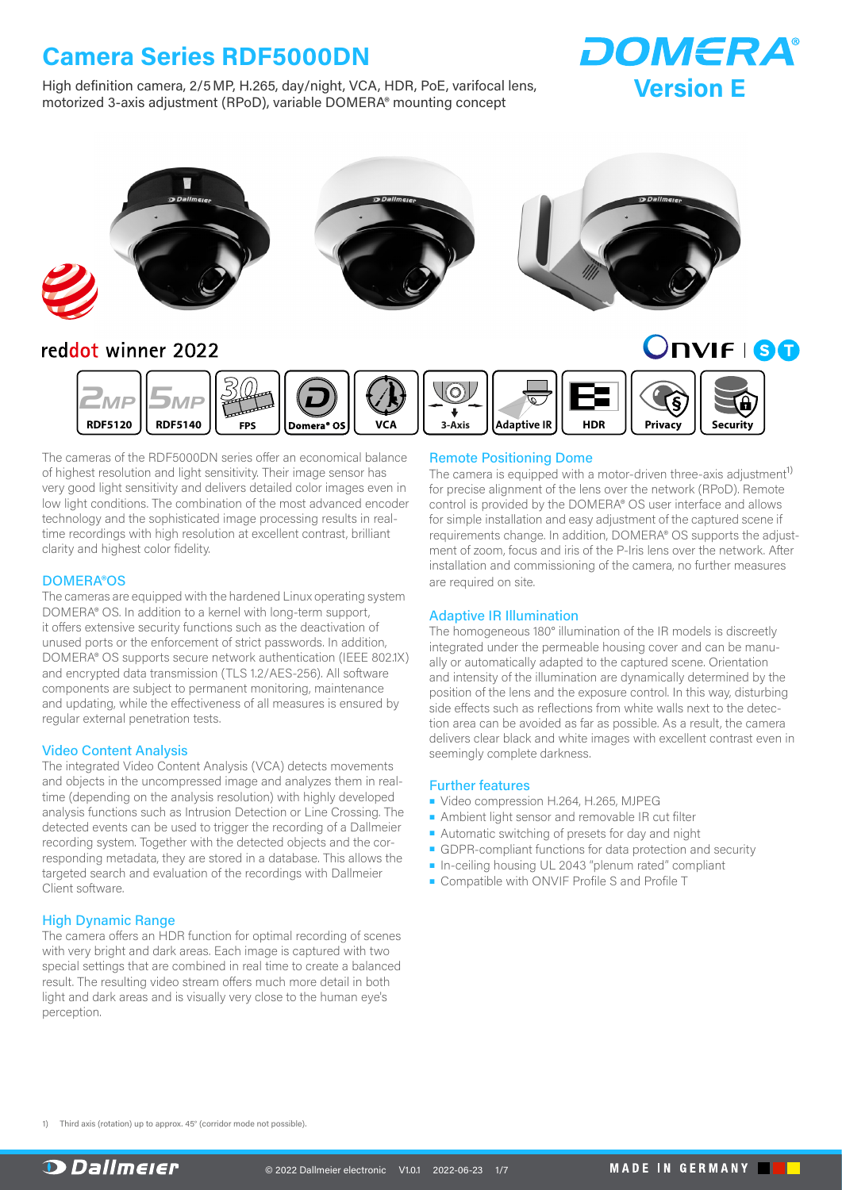High definition camera, 2/5MP, H.265, day/night, VCA, HDR, PoE, varifocal lens, motorized 3-axis adjustment (RPoD), variable DOMERA® mounting concept





### reddot winner 2022

**ONIFISO** 



The cameras of the RDF5000DN series offer an economical balance of highest resolution and light sensitivity. Their image sensor has very good light sensitivity and delivers detailed color images even in low light conditions. The combination of the most advanced encoder technology and the sophisticated image processing results in realtime recordings with high resolution at excellent contrast, brilliant clarity and highest color fidelity.

#### DOMERA®OS

The cameras are equipped with the hardened Linux operating system DOMERA® OS. In addition to a kernel with long-term support, it offers extensive security functions such as the deactivation of unused ports or the enforcement of strict passwords. In addition, DOMERA® OS supports secure network authentication (IEEE 802.1X) and encrypted data transmission (TLS 1.2/AES-256). All software components are subject to permanent monitoring, maintenance and updating, while the effectiveness of all measures is ensured by regular external penetration tests.

#### Video Content Analysis

The integrated Video Content Analysis (VCA) detects movements and objects in the uncompressed image and analyzes them in realtime (depending on the analysis resolution) with highly developed analysis functions such as Intrusion Detection or Line Crossing. The detected events can be used to trigger the recording of a Dallmeier recording system. Together with the detected objects and the corresponding metadata, they are stored in a database. This allows the targeted search and evaluation of the recordings with Dallmeier Client software.

#### High Dynamic Range

The camera offers an HDR function for optimal recording of scenes with very bright and dark areas. Each image is captured with two special settings that are combined in real time to create a balanced result. The resulting video stream offers much more detail in both light and dark areas and is visually very close to the human eye's perception.

#### Remote Positioning Dome

The camera is equipped with a motor-driven three-axis adjustment<sup>[1\)](#page-0-0)</sup> for precise alignment of the lens over the network (RPoD). Remote control is provided by the DOMERA® OS user interface and allows for simple installation and easy adjustment of the captured scene if requirements change. In addition, DOMERA® OS supports the adjustment of zoom, focus and iris of the P-Iris lens over the network. After installation and commissioning of the camera, no further measures are required on site.

#### Adaptive IR Illumination

The homogeneous 180° illumination of the IR models is discreetly integrated under the permeable housing cover and can be manually or automatically adapted to the captured scene. Orientation and intensity of the illumination are dynamically determined by the position of the lens and the exposure control. In this way, disturbing side effects such as reflections from white walls next to the detection area can be avoided as far as possible. As a result, the camera delivers clear black and white images with excellent contrast even in seemingly complete darkness.

#### Further features

- Video compression H.264, H.265, MJPEG
- Ambient light sensor and removable IR cut filter
- Automatic switching of presets for day and night
- GDPR-compliant functions for data protection and security
- In-ceiling housing UL 2043 "plenum rated" compliant
- Compatible with ONVIF Profile S and Profile T

<span id="page-0-0"></span>1) Third axis (rotation) up to approx. 45° (corridor mode not possible).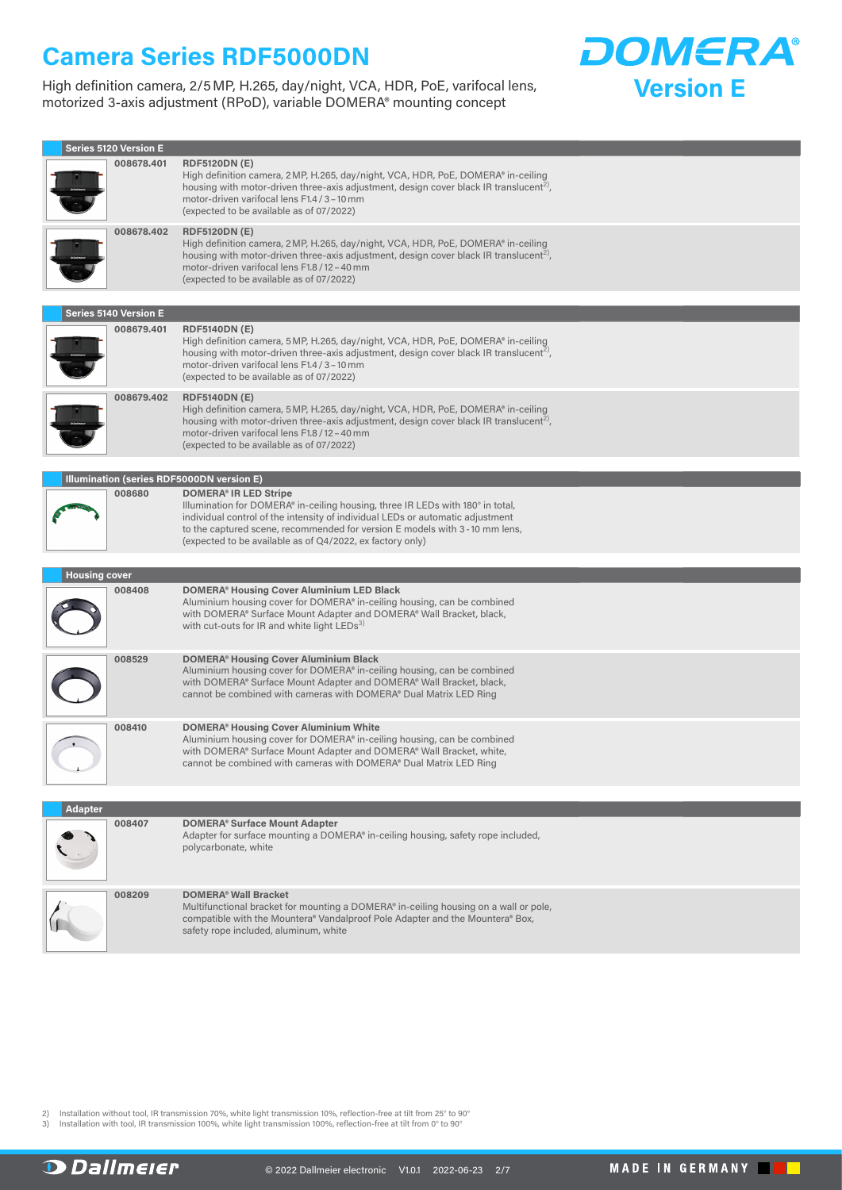High definition camera, 2/5MP, H.265, day/night, VCA, HDR, PoE, varifocal lens, motorized 3-axis adjustment (RPoD), variable DOMERA® mounting concept



| Series 5120 Version E                     |                                                                                                                                                                                                                                                                                                                                             |
|-------------------------------------------|---------------------------------------------------------------------------------------------------------------------------------------------------------------------------------------------------------------------------------------------------------------------------------------------------------------------------------------------|
| 008678.401                                | <b>RDF5120DN (E)</b><br>High definition camera, 2 MP, H.265, day/night, VCA, HDR, PoE, DOMERA® in-ceiling<br>housing with motor-driven three-axis adjustment, design cover black IR translucent <sup>2</sup> ,<br>motor-driven varifocal lens F1.4 / 3 - 10 mm<br>(expected to be available as of 07/2022)                                  |
| 008678.402                                | <b>RDF5120DN (E)</b><br>High definition camera, 2MP, H.265, day/night, VCA, HDR, PoE, DOMERA® in-ceiling<br>housing with motor-driven three-axis adjustment, design cover black IR translucent <sup>2</sup> ,<br>motor-driven varifocal lens F1.8 / 12 - 40 mm<br>(expected to be available as of 07/2022)                                  |
| <b>Series 5140 Version E</b>              |                                                                                                                                                                                                                                                                                                                                             |
| 008679.401                                | <b>RDF5140DN (E)</b>                                                                                                                                                                                                                                                                                                                        |
|                                           | High definition camera, 5 MP, H.265, day/night, VCA, HDR, PoE, DOMERA® in-ceiling<br>housing with motor-driven three-axis adjustment, design cover black IR translucent <sup>2</sup> ,<br>motor-driven varifocal lens F1.4 / 3 - 10 mm<br>(expected to be available as of 07/2022)                                                          |
| 008679.402                                | <b>RDF5140DN (E)</b><br>High definition camera, 5 MP, H.265, day/night, VCA, HDR, PoE, DOMERA® in-ceiling<br>housing with motor-driven three-axis adjustment, design cover black IR translucent <sup>2</sup> ,<br>motor-driven varifocal lens F1.8 / 12 - 40 mm<br>(expected to be available as of 07/2022)                                 |
|                                           |                                                                                                                                                                                                                                                                                                                                             |
| Illumination (series RDF5000DN version E) |                                                                                                                                                                                                                                                                                                                                             |
| 008680                                    | <b>DOMERA® IR LED Stripe</b><br>Illumination for DOMERA® in-ceiling housing, three IR LEDs with 180° in total,<br>individual control of the intensity of individual LEDs or automatic adjustment<br>to the captured scene, recommended for version E models with 3-10 mm lens,<br>(expected to be available as of Q4/2022, ex factory only) |
|                                           |                                                                                                                                                                                                                                                                                                                                             |
| <b>Housing cover</b>                      |                                                                                                                                                                                                                                                                                                                                             |
| 008408                                    | <b>DOMERA® Housing Cover Aluminium LED Black</b><br>Aluminium housing cover for DOMERA® in-ceiling housing, can be combined<br>with DOMERA® Surface Mount Adapter and DOMERA® Wall Bracket, black,<br>with cut-outs for IR and white light LEDs <sup>3)</sup>                                                                               |
| 008529                                    | <b>DOMERA® Housing Cover Aluminium Black</b><br>Aluminium housing cover for DOMERA® in-ceiling housing, can be combined<br>with DOMERA® Surface Mount Adapter and DOMERA® Wall Bracket, black,<br>cannot be combined with cameras with DOMERA® Dual Matrix LED Ring                                                                         |
| 008410                                    | <b>DOMERA® Housing Cover Aluminium White</b><br>Aluminium housing cover for DOMERA® in-ceiling housing, can be combined<br>with DOMERA® Surface Mount Adapter and DOMERA® Wall Bracket, white,<br>cannot be combined with cameras with DOMERA® Dual Matrix LED Ring                                                                         |
| <b>Adapter</b>                            |                                                                                                                                                                                                                                                                                                                                             |
| 008407                                    | <b>DOMERA®</b> Surface Mount Adapter<br>Adapter for surface mounting a DOMERA® in-ceiling housing, safety rope included,<br>polycarbonate, white                                                                                                                                                                                            |
| 008209                                    | <b>DOMERA® Wall Bracket</b><br>Multifunctional bracket for mounting a DOMERA® in-ceiling housing on a wall or pole,<br>compatible with the Mountera® Vandalproof Pole Adapter and the Mountera® Box,<br>safety rope included, aluminum, white                                                                                               |

<span id="page-1-0"></span>2) Installation without tool, IR transmission 70%, white light transmission 10%, reflection-free at tilt from 25° to 90°<br>3) Installation with tool, IR transmission 100%, white light transmission 100%, reflection-free

<span id="page-1-1"></span>

**D** Dallmeier

MADE IN GERMANY **THE**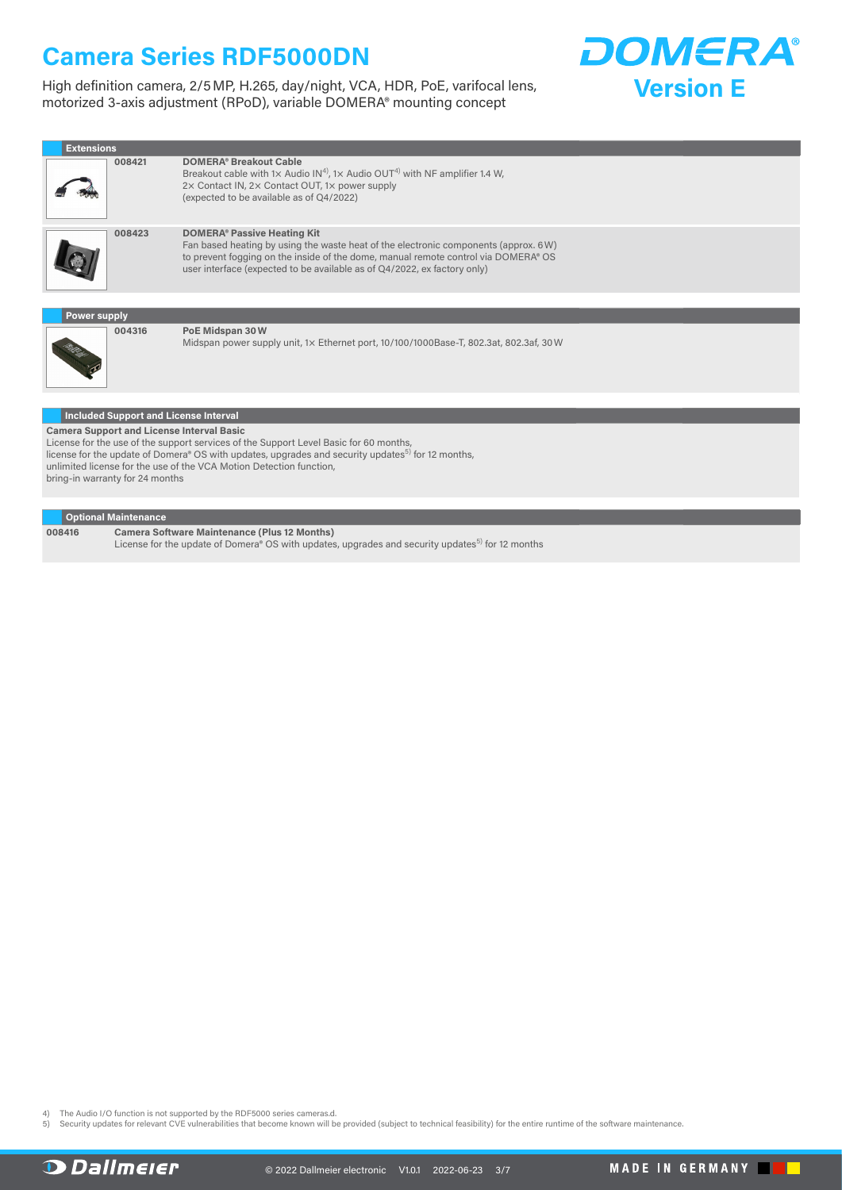High definition camera, 2/5MP, H.265, day/night, VCA, HDR, PoE, varifocal lens, motorized 3-axis adjustment (RPoD), variable DOMERA® mounting concept



| <b>Extensions</b>   |        |                                                                                                                                                                                                                                                                                             |  |  |
|---------------------|--------|---------------------------------------------------------------------------------------------------------------------------------------------------------------------------------------------------------------------------------------------------------------------------------------------|--|--|
|                     | 008421 | <b>DOMERA® Breakout Cable</b><br>Breakout cable with 1x Audio IN <sup>4)</sup> , 1x Audio OUT <sup>4)</sup> with NF amplifier 1.4 W,<br>2x Contact IN, 2x Contact OUT, 1x power supply<br>(expected to be available as of Q4/2022)                                                          |  |  |
|                     | 008423 | <b>DOMERA® Passive Heating Kit</b><br>Fan based heating by using the waste heat of the electronic components (approx. 6W)<br>to prevent fogging on the inside of the dome, manual remote control via DOMERA® OS<br>user interface (expected to be available as of Q4/2022, ex factory only) |  |  |
|                     |        |                                                                                                                                                                                                                                                                                             |  |  |
| <b>Power supply</b> |        |                                                                                                                                                                                                                                                                                             |  |  |
|                     | 004316 | PoE Midspan 30W<br>Midspan power supply unit, 1x Ethernet port, 10/100/1000Base-T, 802.3at, 802.3af, 30 W                                                                                                                                                                                   |  |  |
|                     |        |                                                                                                                                                                                                                                                                                             |  |  |

**Included Support and License Interval Camera Support and License Interval Basic**

License for the use of the support services of the Support Level Basic for 60 months,<br>license for the update of Domera® OS with updates, upgrades and security updates<sup>5)</sup> for 12 months, unlimited license for the use of the VCA Motion Detection function, bring-in warranty for 24 months

#### **Optional Maintenance**

**008416 Camera Software Maintenance (Plus 12 Months)**  License for the update of Domera® OS with updates, upgrades and security updates<sup>[5\)](#page-2-1)</sup> for 12 months

<span id="page-2-1"></span><span id="page-2-0"></span>4) The Audio I/O function is not supported by the RDF5000 series cameras.d.<br>5) Security updates for relevant CVE vulnerabilities that become known will be provided (subject to technical feasibility) for the entire runtim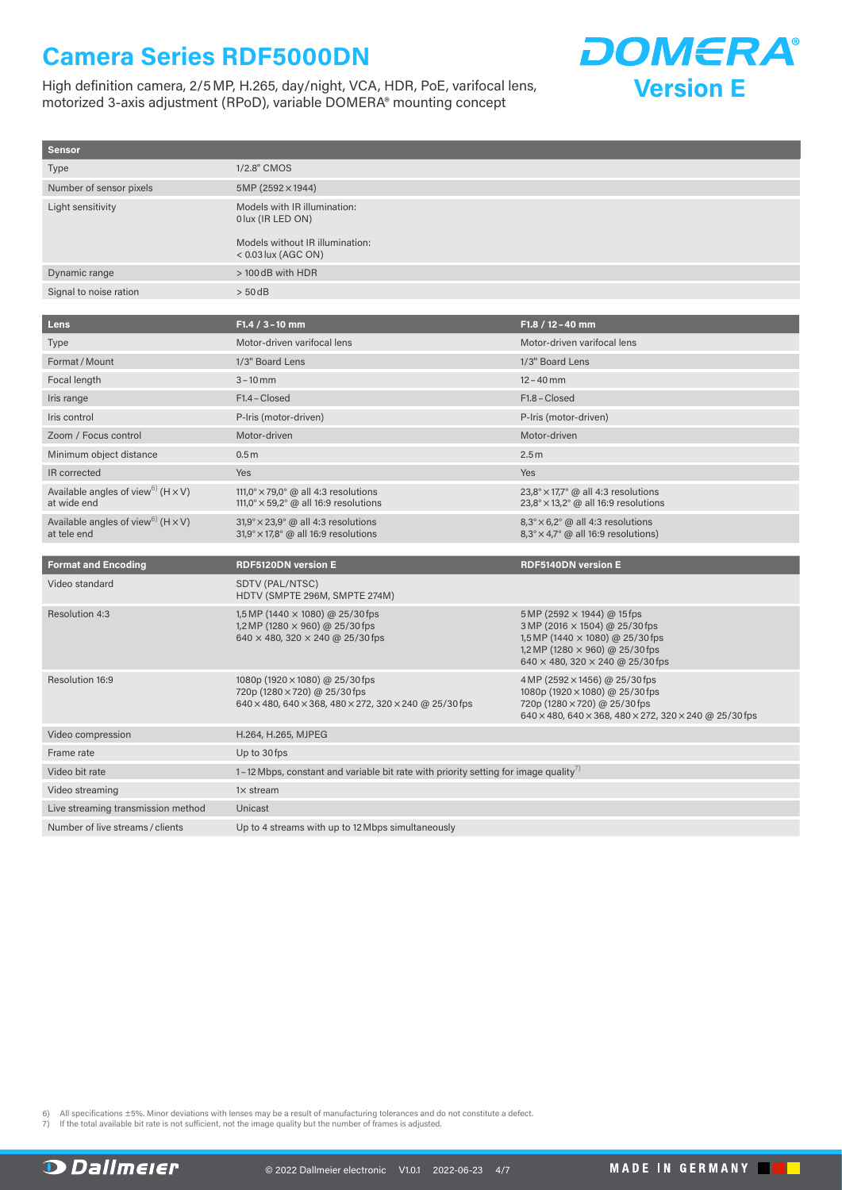High definition camera, 2/5MP, H.265, day/night, VCA, HDR, PoE, varifocal lens, motorized 3-axis adjustment (RPoD), variable DOMERA® mounting concept



| <b>Sensor</b>                                                          |                                                                                                                                      |                                                                                                                                                                                 |
|------------------------------------------------------------------------|--------------------------------------------------------------------------------------------------------------------------------------|---------------------------------------------------------------------------------------------------------------------------------------------------------------------------------|
| <b>Type</b>                                                            | 1/2.8" CMOS                                                                                                                          |                                                                                                                                                                                 |
| Number of sensor pixels                                                | 5MP (2592 × 1944)                                                                                                                    |                                                                                                                                                                                 |
| Light sensitivity                                                      | Models with IR illumination:<br>0 lux (IR LED ON)                                                                                    |                                                                                                                                                                                 |
|                                                                        | Models without IR illumination:<br>$< 0.03$ lux (AGC ON)                                                                             |                                                                                                                                                                                 |
| Dynamic range                                                          | > 100 dB with HDR                                                                                                                    |                                                                                                                                                                                 |
| Signal to noise ration                                                 | $> 50$ dB                                                                                                                            |                                                                                                                                                                                 |
|                                                                        |                                                                                                                                      |                                                                                                                                                                                 |
| <b>Lens</b>                                                            | F1.4 / 3 - 10 mm                                                                                                                     | F1.8 / 12 - 40 mm                                                                                                                                                               |
| <b>Type</b>                                                            | Motor-driven varifocal lens                                                                                                          | Motor-driven varifocal lens                                                                                                                                                     |
| Format / Mount                                                         | 1/3" Board Lens                                                                                                                      | 1/3" Board Lens                                                                                                                                                                 |
| Focal length                                                           | $3 - 10$ mm                                                                                                                          | $12 - 40$ mm                                                                                                                                                                    |
| Iris range                                                             | F1.4 - Closed                                                                                                                        | F1.8 - Closed                                                                                                                                                                   |
| Iris control                                                           | P-Iris (motor-driven)                                                                                                                | P-Iris (motor-driven)                                                                                                                                                           |
| Zoom / Focus control                                                   | Motor-driven                                                                                                                         | Motor-driven                                                                                                                                                                    |
| Minimum object distance                                                | 0.5 <sub>m</sub>                                                                                                                     | 2.5m                                                                                                                                                                            |
| IR corrected                                                           | Yes                                                                                                                                  | Yes                                                                                                                                                                             |
| Available angles of view <sup>6)</sup> ( $H \times V$ )<br>at wide end | 111,0° $\times$ 79,0° @ all 4:3 resolutions<br>111,0° $\times$ 59,2° @ all 16:9 resolutions                                          | $23.8^{\circ} \times 17.7^{\circ}$ @ all 4:3 resolutions<br>23,8° × 13,2° @ all 16:9 resolutions                                                                                |
| Available angles of view <sup>6)</sup> ( $H \times V$ )<br>at tele end | $31,9^{\circ} \times 23,9^{\circ}$ @ all 4:3 resolutions<br>$31,9^{\circ} \times 17,8^{\circ}$ @ all 16:9 resolutions                | $8,3^{\circ}\times6,2^{\circ}$ @ all 4:3 resolutions<br>$8,3^{\circ} \times 4,7^{\circ}$ @ all 16:9 resolutions)                                                                |
|                                                                        |                                                                                                                                      |                                                                                                                                                                                 |
| <b>Format and Encoding</b>                                             | <b>RDF5120DN version E</b>                                                                                                           | <b>RDF5140DN version E</b>                                                                                                                                                      |
| Video standard                                                         | SDTV (PAL/NTSC)<br>HDTV (SMPTE 296M, SMPTE 274M)                                                                                     |                                                                                                                                                                                 |
| Resolution 4:3                                                         | 1,5 MP (1440 $\times$ 1080) @ 25/30 fps<br>1,2 MP (1280 $\times$ 960) @ 25/30 fps<br>$640 \times 480$ , 320 $\times$ 240 @ 25/30 fps | 5 MP (2592 × 1944) @ 15 fps<br>3 MP (2016 × 1504) @ 25/30 fps<br>1,5 MP (1440 × 1080) @ 25/30 fps<br>1,2 MP (1280 $\times$ 960) @ 25/30 fps<br>640 × 480, 320 × 240 @ 25/30 fps |
| Resolution 16:9                                                        | 1080p (1920 × 1080) @ 25/30 fps<br>720p (1280 × 720) @ 25/30 fps<br>640 × 480, 640 × 368, 480 × 272, 320 × 240 @ 25/30 fps           | 4 MP (2592 × 1456) @ 25/30 fps<br>1080p (1920 × 1080) @ 25/30 fps<br>720p (1280 × 720) @ 25/30 fps<br>640 × 480, 640 × 368, 480 × 272, 320 × 240 @ 25/30 fps                    |
| Video compression                                                      | H.264, H.265, MJPEG                                                                                                                  |                                                                                                                                                                                 |
| Frame rate                                                             | Up to 30 fps                                                                                                                         |                                                                                                                                                                                 |
| Video bit rate                                                         | 1–12 Mbps, constant and variable bit rate with priority setting for image quality <sup>7</sup>                                       |                                                                                                                                                                                 |
| Video streaming                                                        | $1\times$ stream                                                                                                                     |                                                                                                                                                                                 |
| Live streaming transmission method                                     | Unicast                                                                                                                              |                                                                                                                                                                                 |
| Number of live streams / clients                                       | Up to 4 streams with up to 12 Mbps simultaneously                                                                                    |                                                                                                                                                                                 |

<span id="page-3-0"></span>6) All specifications ±5%. Minor deviations with lenses may be a result of manufacturing tolerances and do not constitute a defect.

<span id="page-3-1"></span>7) If the total available bit rate is not sufficient, not the image quality but the number of frames is adjusted.

**D** Dallmeier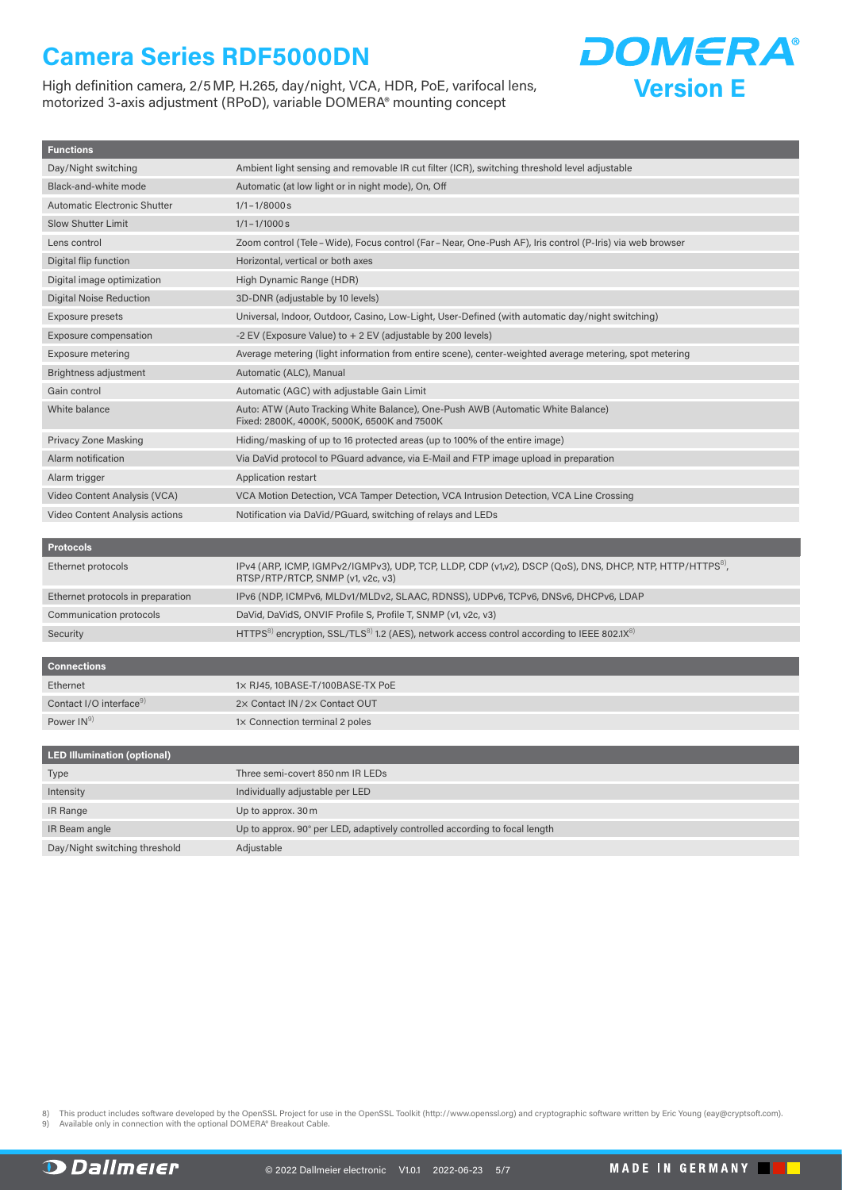High definition camera, 2/5MP, H.265, day/night, VCA, HDR, PoE, varifocal lens, motorized 3-axis adjustment (RPoD), variable DOMERA® mounting concept



| <b>LED Illumination (optional)</b> |                                                                            |  |  |  |
|------------------------------------|----------------------------------------------------------------------------|--|--|--|
| Type                               | Three semi-covert 850 nm IR LEDs                                           |  |  |  |
| Intensity                          | Individually adjustable per LED                                            |  |  |  |
| IR Range                           | Up to approx. 30 m                                                         |  |  |  |
| IR Beam angle                      | Up to approx. 90° per LED, adaptively controlled according to focal length |  |  |  |
| Day/Night switching threshold      | Adjustable                                                                 |  |  |  |

<span id="page-4-1"></span><span id="page-4-0"></span>This product includes software developed by the OpenSSL Project for use in the OpenSSL Toolkit (http://www.openssl.org) and cryptographic software written by Eric Young (eay@cryptsoft.com).

Available only in connection with the optional DOMERA® Breakout Cable

**D** Dallmeier

**Version E**

**DOMERA**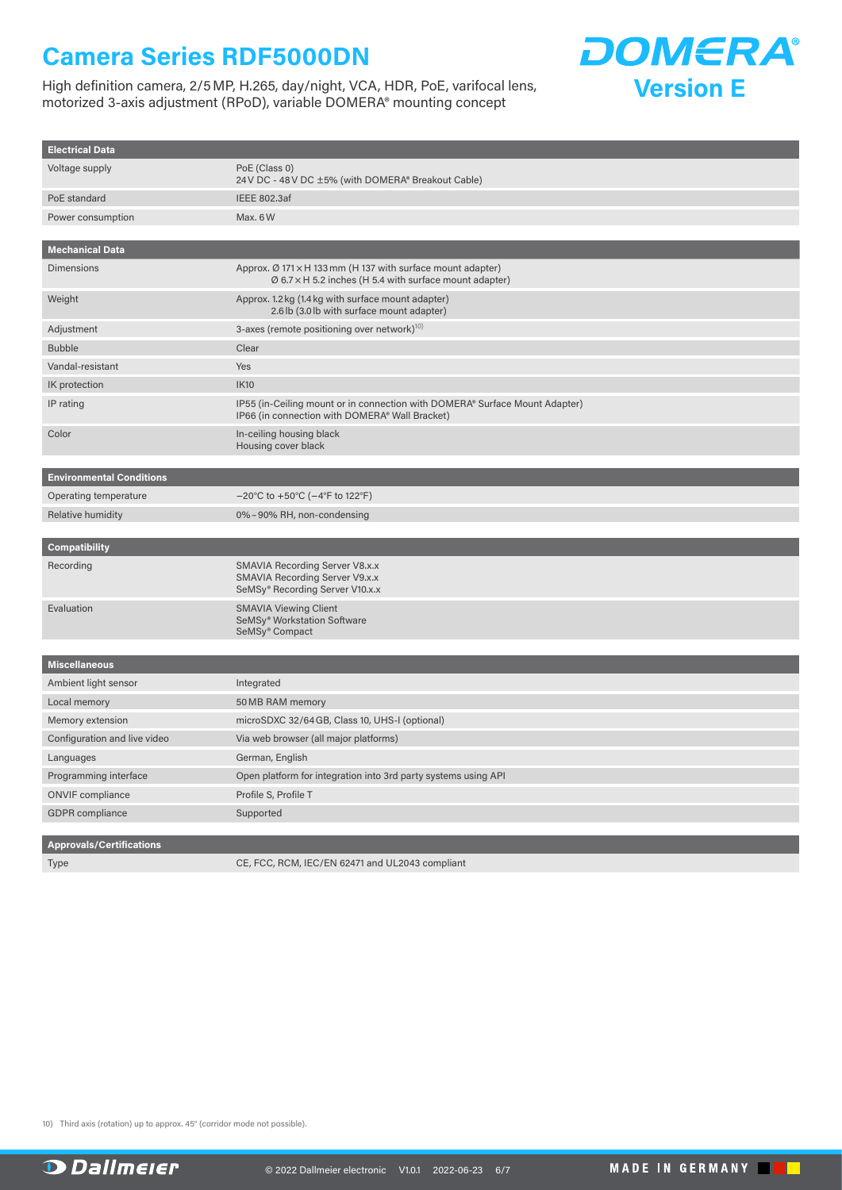High definition camera, 2/5MP, H.265, day/night, VCA, HDR, PoE, varifocal lens, motorized 3-axis adjustment (RPoD), variable DOMERA® mounting concept



| <b>Electrical Data</b>          |                                                                                                                                    |  |  |  |
|---------------------------------|------------------------------------------------------------------------------------------------------------------------------------|--|--|--|
| Voltage supply                  | PoE (Class 0)<br>24 V DC - 48 V DC ±5% (with DOMERA® Breakout Cable)                                                               |  |  |  |
| PoE standard                    | <b>IEEE 802.3af</b>                                                                                                                |  |  |  |
| Power consumption               | Max. 6W                                                                                                                            |  |  |  |
|                                 |                                                                                                                                    |  |  |  |
| <b>Mechanical Data</b>          |                                                                                                                                    |  |  |  |
| <b>Dimensions</b>               | Approx. Ø 171 × H 133 mm (H 137 with surface mount adapter)<br>$\varnothing$ 6.7 x H 5.2 inches (H 5.4 with surface mount adapter) |  |  |  |
| Weight                          | Approx. 1.2 kg (1.4 kg with surface mount adapter)<br>2.6 lb (3.0 lb with surface mount adapter)                                   |  |  |  |
| Adjustment                      | 3-axes (remote positioning over network) <sup>10)</sup>                                                                            |  |  |  |
| <b>Bubble</b>                   | Clear                                                                                                                              |  |  |  |
| Vandal-resistant                | Yes                                                                                                                                |  |  |  |
| IK protection                   | <b>IK10</b>                                                                                                                        |  |  |  |
| IP rating                       | IP55 (in-Ceiling mount or in connection with DOMERA® Surface Mount Adapter)<br>IP66 (in connection with DOMERA® Wall Bracket)      |  |  |  |
| Color                           | In-ceiling housing black<br>Housing cover black                                                                                    |  |  |  |
| <b>Environmental Conditions</b> |                                                                                                                                    |  |  |  |
| Operating temperature           | $-20^{\circ}$ C to +50 $^{\circ}$ C ( $-4^{\circ}$ F to 122 $^{\circ}$ F)                                                          |  |  |  |
| Relative humidity               | 0%-90% RH, non-condensing                                                                                                          |  |  |  |
| <b>Compatibility</b>            |                                                                                                                                    |  |  |  |
| Recording                       | SMAVIA Recording Server V8.x.x<br>SMAVIA Recording Server V9.x.x<br>SeMSy® Recording Server V10.x.x                                |  |  |  |
| Evaluation                      | <b>SMAVIA Viewing Client</b><br>SeMSy <sup>®</sup> Workstation Software<br>SeMSy <sup>®</sup> Compact                              |  |  |  |
|                                 |                                                                                                                                    |  |  |  |
| <b>Miscellaneous</b>            |                                                                                                                                    |  |  |  |
| Ambient light sensor            | Integrated                                                                                                                         |  |  |  |
| Local memory                    | 50 MB RAM memory                                                                                                                   |  |  |  |
| Memory extension                | microSDXC 32/64 GB, Class 10, UHS-I (optional)                                                                                     |  |  |  |
| Configuration and live video    | Via web browser (all major platforms)                                                                                              |  |  |  |
| Languages                       | German, English                                                                                                                    |  |  |  |
| Programming interface           | Open platform for integration into 3rd party systems using API                                                                     |  |  |  |
| <b>ONVIF</b> compliance         | Profile S, Profile T                                                                                                               |  |  |  |
| <b>GDPR</b> compliance          | Supported                                                                                                                          |  |  |  |
|                                 |                                                                                                                                    |  |  |  |
| <b>Approvals/Certifications</b> |                                                                                                                                    |  |  |  |

Type CE, FCC, RCM, IEC/EN 62471 and UL2043 compliant

<span id="page-5-0"></span>10) Third axis (rotation) up to approx. 45° (corridor mode not possible).